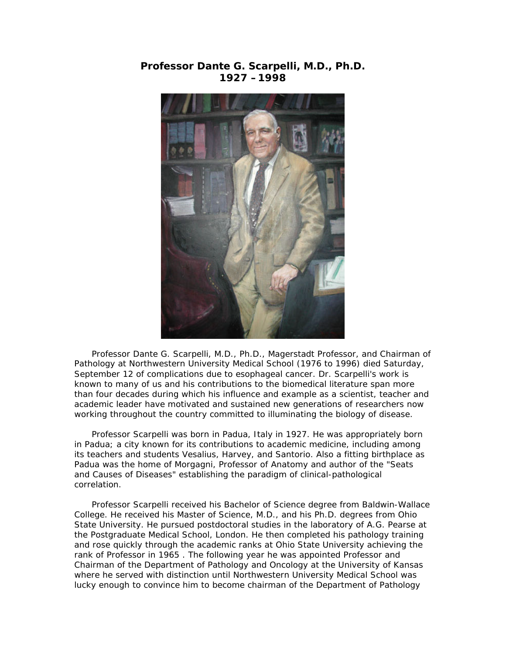## **Professor Dante G. Scarpelli, M.D., Ph.D. 1927 –1998**



 Professor Dante G. Scarpelli, M.D., Ph.D., Magerstadt Professor, and Chairman of Pathology at Northwestern University Medical School (1976 to 1996) died Saturday, September 12 of complications due to esophageal cancer. Dr. Scarpelli's work is known to many of us and his contributions to the biomedical literature span more than four decades during which his influence and example as a scientist, teacher and academic leader have motivated and sustained new generations of researchers now working throughout the country committed to illuminating the biology of disease.

 Professor Scarpelli was born in Padua, Italy in 1927. He was appropriately born in Padua; a city known for its contributions to academic medicine, including among its teachers and students Vesalius, Harvey, and Santorio. Also a fitting birthplace as Padua was the home of Morgagni, Professor of Anatomy and author of the "Seats and Causes of Diseases" establishing the paradigm of clinical-pathological correlation.

 Professor Scarpelli received his Bachelor of Science degree from Baldwin-Wallace College. He received his Master of Science, M.D., and his Ph.D. degrees from Ohio State University. He pursued postdoctoral studies in the laboratory of A.G. Pearse at the Postgraduate Medical School, London. He then completed his pathology training and rose quickly through the academic ranks at Ohio State University achieving the rank of Professor in 1965 . The following year he was appointed Professor and Chairman of the Department of Pathology and Oncology at the University of Kansas where he served with distinction until Northwestern University Medical School was lucky enough to convince him to become chairman of the Department of Pathology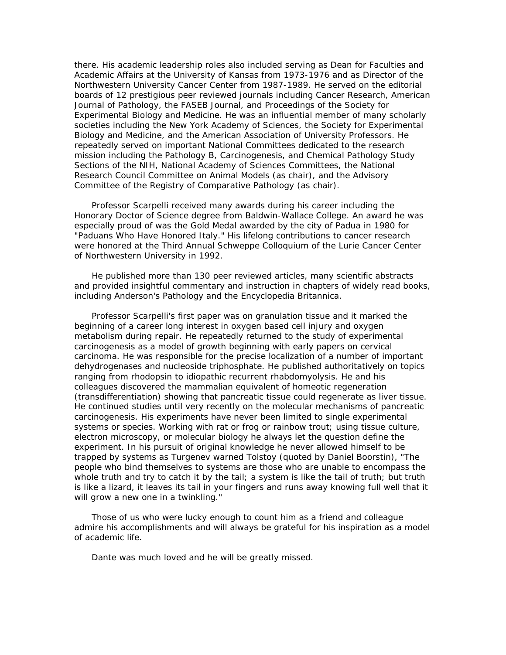there. His academic leadership roles also included serving as Dean for Faculties and Academic Affairs at the University of Kansas from 1973-1976 and as Director of the Northwestern University Cancer Center from 1987-1989. He served on the editorial boards of 12 prestigious peer reviewed journals including *Cancer Research, American Journal of Pathology*, the *FASEB Journal,* and *Proceedings of the Society for Experimental Biology and Medicine*. He was an influential member of many scholarly societies including the New York Academy of Sciences, the Society for Experimental Biology and Medicine, and the American Association of University Professors. He repeatedly served on important National Committees dedicated to the research mission including the Pathology B, Carcinogenesis, and Chemical Pathology Study Sections of the NIH, National Academy of Sciences Committees, the National Research Council Committee on Animal Models (as chair), and the Advisory Committee of the Registry of Comparative Pathology (as chair).

 Professor Scarpelli received many awards during his career including the Honorary Doctor of Science degree from Baldwin-Wallace College. An award he was especially proud of was the Gold Medal awarded by the city of Padua in 1980 for "Paduans Who Have Honored Italy." His lifelong contributions to cancer research were honored at the Third Annual Schweppe Colloquium of the Lurie Cancer Center of Northwestern University in 1992.

 He published more than 130 peer reviewed articles, many scientific abstracts and provided insightful commentary and instruction in chapters of widely read books, including Anderson's *Pathology* and the *Encyclopedia Britannica*.

 Professor Scarpelli's first paper was on granulation tissue and it marked the beginning of a career long interest in oxygen based cell injury and oxygen metabolism during repair. He repeatedly returned to the study of experimental carcinogenesis as a model of growth beginning with early papers on cervical carcinoma. He was responsible for the precise localization of a number of important dehydrogenases and nucleoside triphosphate. He published authoritatively on topics ranging from rhodopsin to idiopathic recurrent rhabdomyolysis. He and his colleagues discovered the mammalian equivalent of homeotic regeneration (transdifferentiation) showing that pancreatic tissue could regenerate as liver tissue. He continued studies until very recently on the molecular mechanisms of pancreatic carcinogenesis. His experiments have never been limited to single experimental systems or species. Working with rat or frog or rainbow trout; using tissue culture, electron microscopy, or molecular biology he always let the question define the experiment. In his pursuit of original knowledge he never allowed himself to be trapped by systems as Turgenev warned Tolstoy (quoted by Daniel Boorstin), "The people who bind themselves to systems are those who are unable to encompass the whole truth and try to catch it by the tail; a system is like the tail of truth; but truth is like a lizard, it leaves its tail in your fingers and runs away knowing full well that it will grow a new one in a twinkling."

 Those of us who were lucky enough to count him as a friend and colleague admire his accomplishments and will always be grateful for his inspiration as a model of academic life.

Dante was much loved and he will be greatly missed.